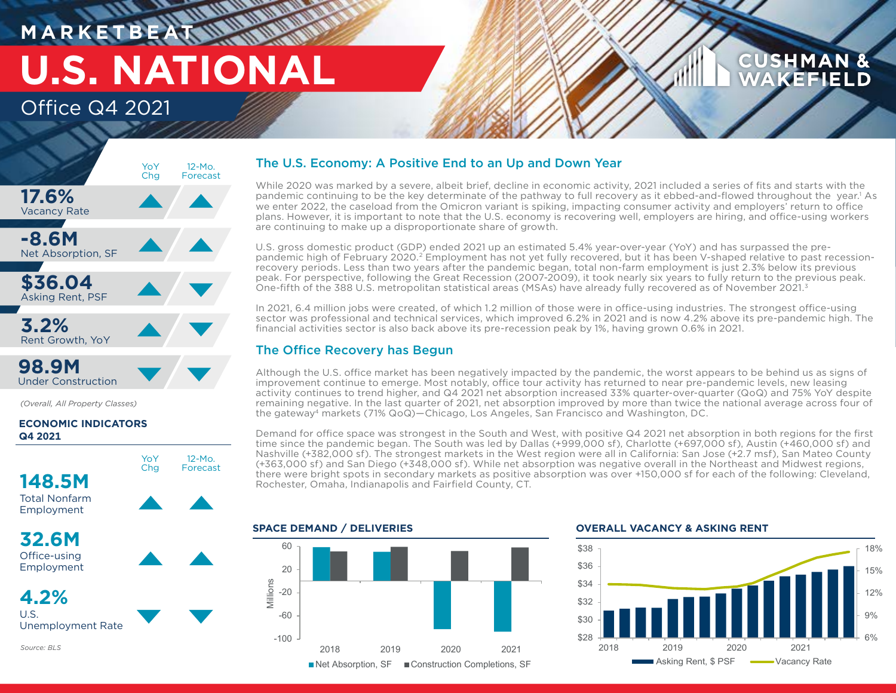# **M A R K E T B E AT U.S. NATIONAL**

## Office Q4 2021

## **17.6%** Vacancy Rate **-8.6M** Net Absorption, SF **\$36.04** Asking Rent, PSF 12-Mo. Forecast YoY Chg **3.2%** Rent Growth, YoY **98.9M**

Under Construction

*Source: BLS*

*(Overall, All Property Classes)*

## **ECONOMIC INDICATORS Q4 2021**



## The U.S. Economy: A Positive End to an Up and Down Year

While 2020 was marked by a severe, albeit brief, decline in economic activity, 2021 included a series of fits and starts with the pandemic continuing to be the key determinate of the pathway to full recovery as it ebbed-and-flowed throughout the year.<sup>1</sup> As we enter 2022, the caseload from the Omicron variant is spiking, impacting consumer activity and employers' return to office plans. However, it is important to note that the U.S. economy is recovering well, employers are hiring, and office-using workers are continuing to make up a disproportionate share of growth.

U.S. gross domestic product (GDP) ended 2021 up an estimated 5.4% year-over-year (YoY) and has surpassed the prepandemic high of February 2020.2 Employment has not yet fully recovered, but it has been V-shaped relative to past recessionrecovery periods. Less than two years after the pandemic began, total non-farm employment is just 2.3% below its previous peak. For perspective, following the Great Recession (2007-2009), it took nearly six years to fully return to the previous peak. One-fifth of the 388 U.S. metropolitan statistical areas (MSAs) have already fully recovered as of November 2021.3

In 2021, 6.4 million jobs were created, of which 1.2 million of those were in office-using industries. The strongest office-using sector was professional and technical services, which improved 6.2% in 2021 and is now 4.2% above its pre-pandemic high. The financial activities sector is also back above its pre-recession peak by 1%, having grown 0.6% in 2021.

## The Office Recovery has Begun

Although the U.S. office market has been negatively impacted by the pandemic, the worst appears to be behind us as signs of improvement continue to emerge. Most notably, office tour activity has returned to near pre-pandemic levels, new leasing activity continues to trend higher, and Q4 2021 net absorption increased 33% quarter-over-quarter (QoQ) and 75% YoY despite remaining negative. In the last quarter of 2021, net absorption improved by more than twice the national average across four of the gateway4 markets (71% QoQ)—Chicago, Los Angeles, San Francisco and Washington, DC.

Demand for office space was strongest in the South and West, with positive Q4 2021 net absorption in both regions for the first time since the pandemic began. The South was led by Dallas (+999,000 sf), Charlotte (+697,000 sf), Austin (+460,000 sf) and Nashville (+382,000 sf). The strongest markets in the West region were all in California: San Jose (+2.7 msf), San Mateo County (+363,000 sf) and San Diego (+348,000 sf). While net absorption was negative overall in the Northeast and Midwest regions, there were bright spots in secondary markets as positive absorption was over +150,000 sf for each of the following: Cleveland, Rochester, Omaha, Indianapolis and Fairfield County, CT.

## **SPACE DEMAND / DELIVERIES**



### **OVERALL VACANCY & ASKING RENT**



**CUSHMAN &** WAKEFIELD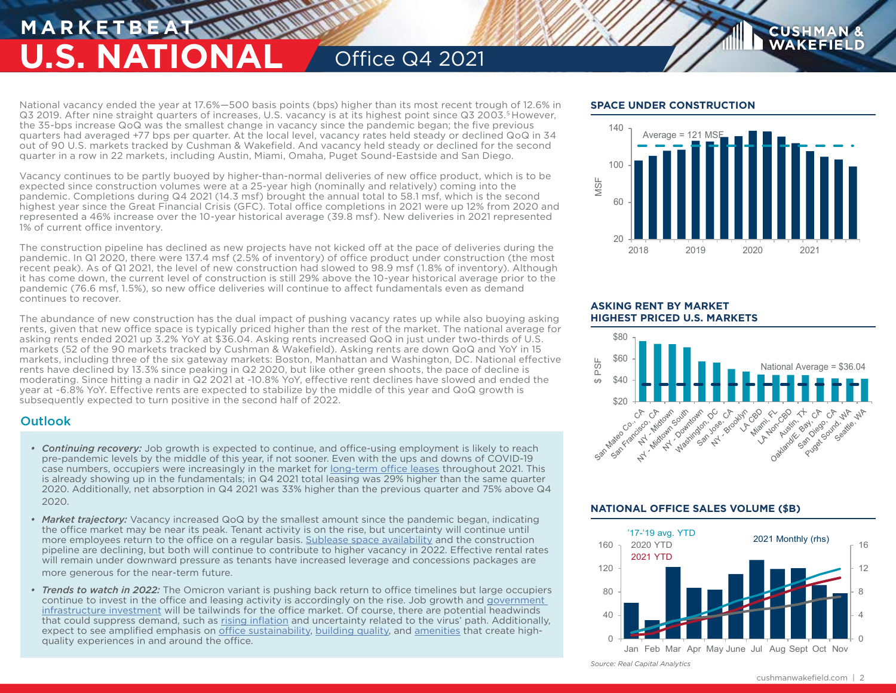## **MARKETBEA U.S. NATIONAL** Office Q4 2021

National vacancy ended the year at 17.6%—500 basis points (bps) higher than its most recent trough of 12.6% in Q3 2019. After nine straight quarters of increases, U.S. vacancy is at its highest point since Q3 2003.<sup>5</sup> However, the 35-bps increase QoQ was the smallest change in vacancy since the pandemic began; the five previous quarters had averaged +77 bps per quarter. At the local level, vacancy rates held steady or declined QoQ in 34 out of 90 U.S. markets tracked by Cushman & Wakefield. And vacancy held steady or declined for the second quarter in a row in 22 markets, including Austin, Miami, Omaha, Puget Sound-Eastside and San Diego.

Vacancy continues to be partly buoyed by higher-than-normal deliveries of new office product, which is to be expected since construction volumes were at a 25-year high (nominally and relatively) coming into the pandemic. Completions during Q4 2021 (14.3 msf) brought the annual total to 58.1 msf, which is the second highest year since the Great Financial Crisis (GFC). Total office completions in 2021 were up 12% from 2020 and represented a 46% increase over the 10-year historical average (39.8 msf). New deliveries in 2021 represented 1% of current office inventory.

The construction pipeline has declined as new projects have not kicked off at the pace of deliveries during the pandemic. In Q1 2020, there were 137.4 msf (2.5% of inventory) of office product under construction (the most recent peak). As of Q1 2021, the level of new construction had slowed to 98.9 msf (1.8% of inventory). Although it has come down, the current level of construction is still 29% above the 10-year historical average prior to the pandemic (76.6 msf, 1.5%), so new office deliveries will continue to affect fundamentals even as demand continues to recover.

The abundance of new construction has the dual impact of pushing vacancy rates up while also buoying asking rents, given that new office space is typically priced higher than the rest of the market. The national average for asking rents ended 2021 up 3.2% YoY at \$36.04. Asking rents increased QoQ in just under two-thirds of U.S. markets (52 of the 90 markets tracked by Cushman & Wakefield). Asking rents are down QoQ and YoY in 15 markets, including three of the six gateway markets: Boston, Manhattan and Washington, DC. National effective rents have declined by 13.3% since peaking in Q2 2020, but like other green shoots, the pace of decline is moderating. Since hitting a nadir in Q2 2021 at -10.8% YoY, effective rent declines have slowed and ended the year at -6.8% YoY. Effective rents are expected to stabilize by the middle of this year and QoQ growth is subsequently expected to turn positive in the second half of 2022.

## **Outlook**

- *• Continuing recovery:* Job growth is expected to continue, and office-using employment is likely to reach pre-pandemic levels by the middle of this year, if not sooner. Even with the ups and downs of COVID-19 case numbers, occupiers were increasingly in the market for [long-term office leases](https://www.cushmanwakefield.com/en/united-states/insights/united-states-office-leasing-trends-what-we-learned) throughout 2021. This is already showing up in the fundamentals; in Q4 2021 total leasing was 29% higher than the same quarter 2020. Additionally, net absorption in Q4 2021 was 33% higher than the previous quarter and 75% above Q4 2020.
- *• Market trajectory:* Vacancy increased QoQ by the smallest amount since the pandemic began, indicating the office market may be near its peak. Tenant activity is on the rise, but uncertainty will continue until more employees return to the office on a regular basis. [Sublease space availability](https://www.cushmanwakefield.com/en/united-states/insights/sublease-space-at-a-glance) and the construction pipeline are declining, but both will continue to contribute to higher vacancy in 2022. Effective rental rates will remain under downward pressure as tenants have increased leverage and concessions packages are more generous for the near-term future.
- *• Trends to watch in 2022:* The Omicron variant is pushing back return to office timelines but large occupiers continue to invest in the office and leasing activity is accordingly on the rise. Job growth and [government](https://www.cushmanwakefield.com/en/united-states/insights/infrastructure-investment-and-jobs-act)  [infrastructure investment](https://www.cushmanwakefield.com/en/united-states/insights/infrastructure-investment-and-jobs-act) will be tailwinds for the office market. Of course, there are potential headwinds that could suppress demand, such as [rising inflation](https://www.cushmanwakefield.com/en/united-states/insights/what-rising-inflation-means-for-cre-investing) and uncertainty related to the virus' path. Additionally, expect to see amplified emphasis on [office sustainability](https://www.cushmanwakefield.com/en/united-states/insights/green-is-good-sustainable-office), [building quality](https://www.cushmanwakefield.com/en/united-states/insights/research-spotlight-new-us-office-building-performance), and [amenities](https://www.cushmanwakefield.com/en/insights/delivering-amenities-and-perks-that-really-matter-to-your-employees) that create highquality experiences in and around the office.

## **SPACE UNDER CONSTRUCTION**



**CUSHMAN WAKEFIEL** 

### **ASKING RENT BY MARKET HIGHEST PRICED U.S. MARKETS**



## **NATIONAL OFFICE SALES VOLUME (\$B)**



*Source: Real Capital Analytics*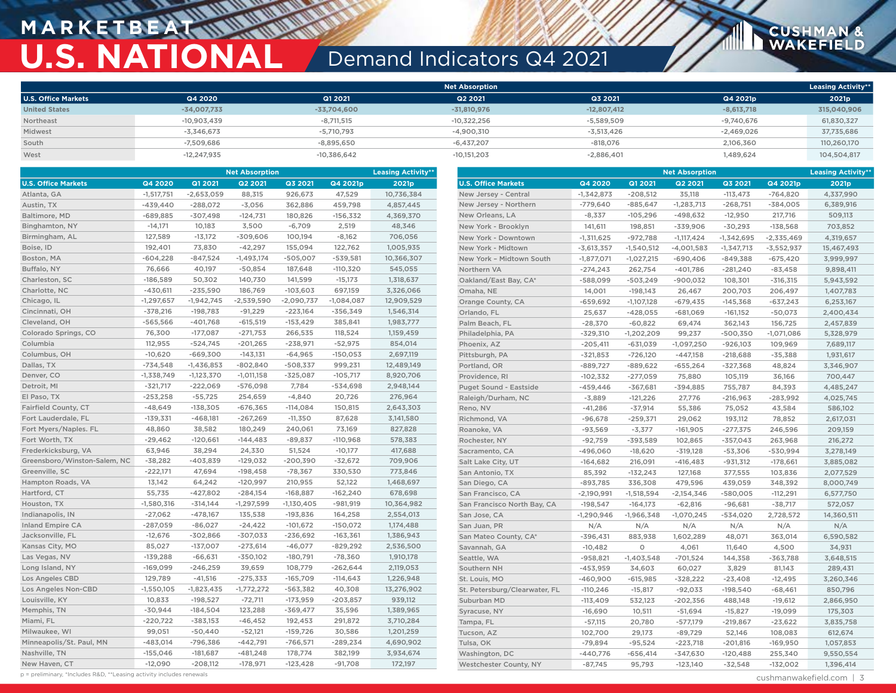## **MARKETBEAT WALK U.S. NATIONAL** Demand Indicators Q4 2021

|                            |               |               | <b>Net Absorption</b> |               |              | <b>Leasing Activity**</b> |
|----------------------------|---------------|---------------|-----------------------|---------------|--------------|---------------------------|
| <b>U.S. Office Markets</b> | Q4 2020       | Q1 2021       | Q2 2021               | Q3 2021       | Q4 2021p     | 2021p                     |
| <b>United States</b>       | $-34,007,733$ | $-33,704,600$ | $-31,810,976$         | $-12,807,412$ | $-8,613,718$ | 315,040,906               |
| Northeast                  | $-10.903.439$ | $-8.711.515$  | $-10.322.256$         | $-5.589.509$  | $-9.740.676$ | 61,830,327                |
| Midwest                    | $-3,346,673$  | $-5.710.793$  | $-4.900.310$          | $-3.513.426$  | $-2,469,026$ | 37,735,686                |
| South                      | $-7,509,686$  | $-8,895,650$  | $-6,437,207$          | $-818.076$    | 2,106,360    | 110,260,170               |
| West                       | $-12,247,935$ | $-10,386,642$ | $-10,151,203$         | $-2,886,401$  | 1,489,624    | 104,504,817               |

|                              |              | <b>Net Absorption</b> |                |              | <b>Leasing Activity*</b> |            |                               | <b>Net Absorption</b> |              |                |              |              | <b>Leasing Activity**</b> |  |
|------------------------------|--------------|-----------------------|----------------|--------------|--------------------------|------------|-------------------------------|-----------------------|--------------|----------------|--------------|--------------|---------------------------|--|
| <b>U.S. Office Markets</b>   | Q4 2020      | Q1 2021               | <b>Q2 2021</b> | Q3 2021      | Q4 2021p                 | 2021p      | <b>U.S. Office Markets</b>    | Q4 2020               | Q1 2021      | <b>Q2 2021</b> | Q3 2021      | Q4 2021p     | 2021p                     |  |
| Atlanta, GA                  | $-1,517,751$ | $-2,653,059$          | 88,315         | 926,673      | 47,529                   | 10,736,384 | New Jersey - Central          | $-1,342,873$          | $-208,512$   | 35,118         | $-113,473$   | $-764,820$   | 4,337,990                 |  |
| Austin, TX                   | $-439,440$   | $-288,072$            | $-3,056$       | 362,886      | 459,798                  | 4,857,445  | New Jersey - Northern         | $-779,640$            | $-885,647$   | $-1,283,713$   | $-268,751$   | -384,005     | 6,389,916                 |  |
| Baltimore, MD                | $-689,885$   | $-307,498$            | $-124,731$     | 180,826      | $-156,332$               | 4,369,370  | New Orleans, LA               | $-8,337$              | $-105,296$   | $-498,632$     | $-12,950$    | 217,716      | 509,113                   |  |
| Binghamton, NY               | $-14,171$    | 10,183                | 3,500          | $-6,709$     | 2,519                    | 48,346     | New York - Brooklyn           | 141,611               | 198,851      | $-339,906$     | $-30,293$    | $-138,568$   | 703,852                   |  |
| Birmingham, AL               | 127,589      | $-13,172$             | $-309,606$     | 100,194      | $-8,162$                 | 706,056    | New York - Downtown           | $-1,311,625$          | $-972,788$   | $-1,117,424$   | $-1,342,695$ | $-2,335,469$ | 4,319,657                 |  |
| Boise, ID                    | 192,401      | 73,830                | $-42,297$      | 155,094      | 122,762                  | 1,005,935  | New York - Midtown            | $-3,613,357$          | $-1,540,512$ | $-4,001,583$   | $-1,347,713$ | $-3,552,937$ | 15,467,493                |  |
| Boston, MA                   | $-604,228$   | $-847,524$            | $-1,493,174$   | $-505,007$   | $-539,581$               | 10,366,307 | New York - Midtown South      | $-1,877,071$          | $-1,027,215$ | $-690,406$     | $-849,388$   | $-675,420$   | 3,999,997                 |  |
| Buffalo, NY                  | 76,666       | 40,197                | $-50,854$      | 187,648      | $-110,320$               | 545,055    | Northern VA                   | $-274,243$            | 262,754      | $-401,786$     | $-281,240$   | $-83,458$    | 9,898,411                 |  |
| Charleston, SC               | $-186,589$   | 50,302                | 140,730        | 141,599      | $-15,173$                | 1,318,637  | Oakland/East Bay, CA*         | $-588,099$            | $-503,249$   | $-900,032$     | 108,301      | $-316,315$   | 5,943,592                 |  |
| Charlotte, NC                | $-430,611$   | $-235,590$            | 186,769        | $-103,603$   | 697,159                  | 3,326,066  | Omaha, NE                     | 14,001                | $-198,143$   | 26,467         | 200,703      | 206,497      | 1,407,783                 |  |
| Chicago, IL                  | $-1,297,657$ | $-1,942,745$          | $-2,539,590$   | $-2,090,737$ | $-1,084,087$             | 12,909,529 | Orange County, CA             | $-659,692$            | $-1,107,128$ | $-679,435$     | $-145,368$   | $-637,243$   | 6,253,167                 |  |
| Cincinnati, OH               | $-378,216$   | $-198,783$            | $-91,229$      | $-223,164$   | $-356,349$               | 1,546,314  | Orlando, FL                   | 25,637                | $-428,055$   | $-681,069$     | $-161,152$   | $-50,073$    | 2,400,434                 |  |
| Cleveland, OH                | $-565,566$   | $-401,768$            | $-615,519$     | $-153,429$   | 385,841                  | 1,983,777  | Palm Beach, FL                | $-28,370$             | $-60,822$    | 69,474         | 362,143      | 156,725      | 2,457,839                 |  |
| Colorado Springs, CO         | 76,300       | $-177,087$            | $-271,753$     | 266,535      | 118,524                  | 1,159,459  | Philadelphia, PA              | $-329,310$            | $-1,202,209$ | 99,237         | $-500,350$   | $-1,071,086$ | 5,328,979                 |  |
| Columbia                     | 112,955      | $-524,745$            | $-201,265$     | $-238,971$   | $-52,975$                | 854,014    | Phoenix, AZ                   | $-205,411$            | $-631,039$   | $-1,097,250$   | $-926,103$   | 109,969      | 7,689,117                 |  |
| Columbus, OH                 | $-10,620$    | $-669,300$            | $-143,131$     | $-64,965$    | $-150,053$               | 2,697,119  | Pittsburgh, PA                | $-321,853$            | $-726,120$   | $-447,158$     | $-218,688$   | $-35,388$    | 1,931,617                 |  |
| Dallas, TX                   | $-734,548$   | $-1,436,853$          | $-802,840$     | $-508,337$   | 999,231                  | 12,489,149 | Portland, OR                  | $-889,727$            | $-889,622$   | $-655,264$     | $-327,368$   | 48,824       | 3,346,907                 |  |
| Denver, CO                   | $-1,338,749$ | $-1,123,370$          | $-1,011,158$   | $-325,087$   | $-105,717$               | 8,920,706  | Providence, RI                | $-102,332$            | $-277,059$   | 75,880         | 105,119      | 36,166       | 700,447                   |  |
| Detroit, MI                  | $-321,717$   | $-222,069$            | $-576,098$     | 7,784        | $-534,698$               | 2,948,144  | <b>Puget Sound - Eastside</b> | $-459, 446$           | $-367,681$   | $-394,885$     | 755,787      | 84,393       | 4,485,247                 |  |
| El Paso, TX                  | $-253,258$   | $-55,725$             | 254,659        | $-4,840$     | 20,726                   | 276,964    | Raleigh/Durham, NC            | $-3,889$              | $-121,226$   | 27,776         | $-216,963$   | $-283,992$   | 4,025,745                 |  |
| Fairfield County, CT         | $-48,649$    | $-138,305$            | $-676,365$     | $-114,084$   | 150,815                  | 2,643,303  | Reno, NV                      | $-41,286$             | $-37,914$    | 55,386         | 75,052       | 43,584       | 586,102                   |  |
| Fort Lauderdale, FL          | $-139,331$   | $-468,181$            | $-267,269$     | $-11,350$    | 87,628                   | 3,141,580  | Richmond, VA                  | $-96,678$             | $-259,371$   | 29,062         | 193,112      | 78,852       | 2,617,031                 |  |
| Fort Myers/Naples. FL        | 48,860       | 38,582                | 180,249        | 240,061      | 73,169                   | 827,828    | Roanoke, VA                   | $-93,569$             | $-3,377$     | $-161,905$     | $-277,375$   | 246,596      | 209,159                   |  |
| Fort Worth, TX               | $-29,462$    | $-120,661$            | $-144,483$     | $-89,837$    | $-110,968$               | 578,383    | Rochester, NY                 | $-92,759$             | $-393,589$   | 102,865        | $-357,043$   | 263,968      | 216,272                   |  |
| Frederkicksburg, VA          | 63,946       | 38,294                | 24,330         | 51,524       | $-10,177$                | 417,688    | Sacramento, CA                | $-496,060$            | $-18,620$    | $-319,128$     | $-53,306$    | $-530,994$   | 3,278,149                 |  |
| Greensboro/Winston-Salem, NC | $-38,282$    | $-403,839$            | $-129,032$     | $-200,390$   | $-32,672$                | 709,906    | Salt Lake City, UT            | $-164,682$            | 216,091      | $-416, 483$    | $-931,312$   | $-178,661$   | 3,885,082                 |  |
| Greenville, SC               | $-222,171$   | 47,694                | $-198,458$     | $-78,367$    | 330,530                  | 773,846    | San Antonio, TX               | 85,392                | $-132,243$   | 127,168        | 377,555      | 103,836      | 2,077,529                 |  |
| Hampton Roads, VA            | 13,142       | 64,242                | $-120,997$     | 210,955      | 52,122                   | 1,468,697  | San Diego, CA                 | $-893,785$            | 336,308      | 479,596        | 439,059      | 348,392      | 8,000,749                 |  |
| Hartford, CT                 | 55,735       | $-427,802$            | $-284,154$     | $-168,887$   | $-162,240$               | 678,698    | San Francisco, CA             | $-2,190,991$          | $-1,518,594$ | $-2,154,346$   | $-580,005$   | $-112,291$   | 6,577,750                 |  |
| Houston, TX                  | $-1,580,316$ | $-314,144$            | $-1,297,599$   | $-1,130,405$ | $-981,919$               | 10,364,982 | San Francisco North Bay, CA   | $-198,547$            | $-164,173$   | $-62,816$      | $-96,681$    | $-38,717$    | 572,057                   |  |
| Indianapolis, IN             | $-27,062$    | $-478,167$            | 135,538        | $-193,836$   | 164,258                  | 2,554,013  | San Jose, CA                  | $-1,290,946$          | $-1,966,348$ | $-1,070,245$   | $-534,020$   | 2,728,572    | 14,360,511                |  |
| Inland Empire CA             | $-287,059$   | $-86,027$             | $-24,422$      | $-101,672$   | $-150,072$               | 1,174,488  | San Juan, PR                  | N/A                   | N/A          | N/A            | N/A          | N/A          | N/A                       |  |
| Jacksonville, FL             | $-12,676$    | $-302,866$            | $-307,033$     | $-236,692$   | $-163,361$               | 1,386,943  | San Mateo County, CA*         | $-396,431$            | 883,938      | 1,602,289      | 48,071       | 363,014      | 6,590,582                 |  |
| Kansas City, MO              | 85,027       | $-137,007$            | $-273,614$     | $-46,077$    | $-829,292$               | 2,536,500  | Savannah, GA                  | $-10,482$             | $\circ$      | 4,061          | 11,640       | 4,500        | 34,931                    |  |
| Las Vegas, NV                | $-139,288$   | $-66,631$             | $-350,102$     | $-180,791$   | -78,360                  | 1,910,178  | Seattle, WA                   | $-958,821$            | $-1,403,548$ | $-701,524$     | 144,358      | $-363,788$   | 3,648,515                 |  |
| Long Island, NY              | $-169,099$   | $-246,259$            | 39,659         | 108,779      | $-262,644$               | 2,119,053  | Southern NH                   | $-453,959$            | 34,603       | 60,027         | 3,829        | 81,143       | 289,431                   |  |
| <b>Los Angeles CBD</b>       | 129,789      | $-41,516$             | $-275,333$     | $-165,709$   | $-114,643$               | 1,226,948  | St. Louis, MO                 | $-460,900$            | $-615,985$   | $-328,222$     | $-23,408$    | $-12,495$    | 3,260,346                 |  |
| Los Angeles Non-CBD          | $-1,550,105$ | $-1,823,435$          | $-1,772,272$   | $-563,382$   | 40,308                   | 13,276,902 | St. Petersburg/Clearwater, FL | $-110,246$            | $-15,817$    | $-92,033$      | $-198,540$   | $-68,461$    | 850,796                   |  |
| Louisville, KY               | 10,833       | $-198,527$            | $-72,711$      | $-173,959$   | $-203,857$               | 939,112    | Suburban MD                   | $-113,409$            | 532,123      | $-202,356$     | 488,148      | $-19,612$    | 2,866,950                 |  |
| Memphis, TN                  | $-30,944$    | $-184,504$            | 123,288        | $-369,477$   | 35,596                   | 1,389,965  | Syracuse, NY                  | $-16,690$             | 10,511       | $-51,694$      | $-15,827$    | $-19,099$    | 175,303                   |  |
| Miami, FL                    | $-220,722$   | $-383,153$            | $-46,452$      | 192,453      | 291,872                  | 3,710,284  | Tampa, FL                     | $-57,115$             | 20,780       | $-577,179$     | $-219,867$   | $-23,622$    | 3,835,758                 |  |
| Milwaukee, WI                | 99,051       | $-50,440$             | $-52,121$      | $-159,726$   | 30,586                   | 1,201,259  | Tucson, AZ                    | 102,700               | 29,173       | $-89,729$      | 52,146       | 108,083      | 612,674                   |  |
| Minneapolis/St. Paul, MN     | $-483,014$   | -796,386              | $-442,791$     | $-766,571$   | $-289,234$               | 4,690,902  | Tulsa, OK                     | $-79,894$             | $-95,524$    | $-223,718$     | $-201,816$   | $-169,950$   | 1,057,853                 |  |
| Nashville, TN                | $-155,046$   | $-181,687$            | $-481,248$     | 178,774      | 382,199                  | 3,934,674  | Washington, DC                | $-440,776$            | $-656,414$   | $-347,630$     | $-120,488$   | 255,340      | 9,550,554                 |  |
| New Haven, CT                | $-12,090$    | $-208,112$            | $-178,971$     | $-123,428$   | $-91,708$                | 172,197    | Westchester County, NY        | $-87,745$             | 95,793       | $-123,140$     | $-32,548$    | $-132,002$   | 1,396,414                 |  |

p = preliminary, \*Includes R&D, \*\*Leasing activity includes renewals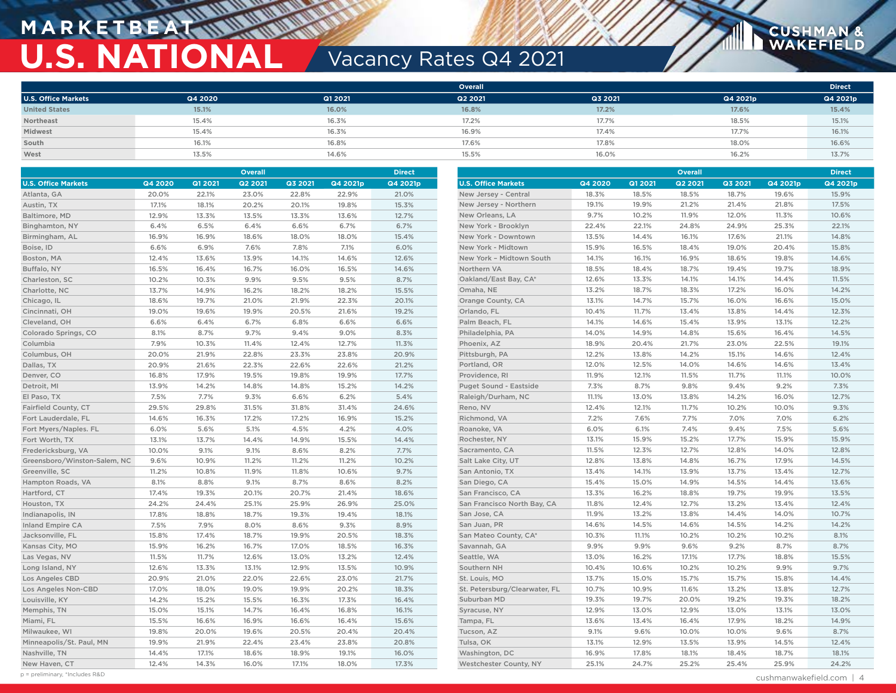## **M A R K E T B E AT U.S. NATIONAL Vacancy Rates Q4 2021**

|                            |         |         | <b>Overall</b> |         |          | <b>Direct</b> |
|----------------------------|---------|---------|----------------|---------|----------|---------------|
| <b>U.S. Office Markets</b> | Q4 2020 | Q1 2021 | Q2 2021        | Q3 2021 | Q4 2021p | Q4 2021p      |
| <b>United States</b>       | 15.1%   | 16.0%   | 16.8%          | 17.2%   | 17.6%    | 15.4%         |
| Northeast                  | 15.4%   | 16.3%   | 17.2%          | 17.7%   | 18.5%    | 15.1%         |
| Midwest                    | 15.4%   | 16.3%   | 16.9%          | 17.4%   | 17.7%    | 16.1%         |
| South                      | 16.1%   | 16.8%   | 17.6%          | 17.8%   | 18.0%    | 16.6%         |
| West                       | 13.5%   | 14.6%   | 15.5%          | 16.0%   | 16.2%    | 13.7%         |

| <b>Overall</b>               |         |         |                |         |          | <b>Direct</b> | Overall                       |         |         | <b>Direct</b>  |         |          |          |
|------------------------------|---------|---------|----------------|---------|----------|---------------|-------------------------------|---------|---------|----------------|---------|----------|----------|
| <b>U.S. Office Markets</b>   | Q4 2020 | Q1 2021 | <b>Q2 2021</b> | Q3 2021 | Q4 2021p | Q4 2021p      | <b>U.S. Office Markets</b>    | Q4 2020 | Q1 2021 | <b>Q2 2021</b> | Q3 2021 | Q4 2021p | Q4 2021p |
| Atlanta, GA                  | 20.0%   | 22.1%   | 23.0%          | 22.8%   | 22.9%    | 21.0%         | New Jersey - Central          | 18.3%   | 18.5%   | 18.5%          | 18.7%   | 19.6%    | 15.9%    |
| Austin, TX                   | 17.1%   | 18.1%   | 20.2%          | 20.1%   | 19.8%    | 15.3%         | New Jersey - Northern         | 19.1%   | 19.9%   | 21.2%          | 21.4%   | 21.8%    | 17.5%    |
| Baltimore, MD                | 12.9%   | 13.3%   | 13.5%          | 13.3%   | 13.6%    | 12.7%         | New Orleans, LA               | 9.7%    | 10.2%   | 11.9%          | 12.0%   | 11.3%    | 10.6%    |
| Binghamton, NY               | 6.4%    | 6.5%    | 6.4%           | 6.6%    | 6.7%     | 6.7%          | New York - Brooklyn           | 22.4%   | 22.1%   | 24.8%          | 24.9%   | 25.3%    | 22.1%    |
| Birmingham, AL               | 16.9%   | 16.9%   | 18.6%          | 18.0%   | 18.0%    | 15.4%         | New York - Downtown           | 13.5%   | 14.4%   | 16.1%          | 17.6%   | 21.1%    | 14.8%    |
| Boise, ID                    | 6.6%    | 6.9%    | 7.6%           | 7.8%    | 7.1%     | 6.0%          | New York - Midtown            | 15.9%   | 16.5%   | 18.4%          | 19.0%   | 20.4%    | 15.8%    |
| Boston, MA                   | 12.4%   | 13.6%   | 13.9%          | 14.1%   | 14.6%    | 12.6%         | New York - Midtown South      | 14.1%   | 16.1%   | 16.9%          | 18.6%   | 19.8%    | 14.6%    |
| Buffalo, NY                  | 16.5%   | 16.4%   | 16.7%          | 16.0%   | 16.5%    | 14.6%         | Northern VA                   | 18.5%   | 18.4%   | 18.7%          | 19.4%   | 19.7%    | 18.9%    |
| Charleston, SC               | 10.2%   | 10.3%   | 9.9%           | 9.5%    | 9.5%     | 8.7%          | Oakland/East Bay, CA*         | 12.6%   | 13.3%   | 14.1%          | 14.1%   | 14.4%    | 11.5%    |
| Charlotte, NC                | 13.7%   | 14.9%   | 16.2%          | 18.2%   | 18.2%    | 15.5%         | Omaha, NE                     | 13.2%   | 18.7%   | 18.3%          | 17.2%   | 16.0%    | 14.2%    |
| Chicago, IL                  | 18.6%   | 19.7%   | 21.0%          | 21.9%   | 22.3%    | 20.1%         | Orange County, CA             | 13.1%   | 14.7%   | 15.7%          | 16.0%   | 16.6%    | 15.0%    |
| Cincinnati, OH               | 19.0%   | 19.6%   | 19.9%          | 20.5%   | 21.6%    | 19.2%         | Orlando, FL                   | 10.4%   | 11.7%   | 13.4%          | 13.8%   | 14.4%    | 12.3%    |
| Cleveland, OH                | 6.6%    | 6.4%    | 6.7%           | 6.8%    | 6.6%     | 6.6%          | Palm Beach, FL                | 14.1%   | 14.6%   | 15.4%          | 13.9%   | 13.1%    | 12.2%    |
| Colorado Springs, CO         | 8.1%    | 8.7%    | 9.7%           | 9.4%    | 9.0%     | 8.3%          | Philadelphia, PA              | 14.0%   | 14.9%   | 14.8%          | 15.6%   | 16.4%    | 14.5%    |
| Columbia                     | 7.9%    | 10.3%   | 11.4%          | 12.4%   | 12.7%    | 11.3%         | Phoenix, AZ                   | 18.9%   | 20.4%   | 21.7%          | 23.0%   | 22.5%    | 19.1%    |
| Columbus, OH                 | 20.0%   | 21.9%   | 22.8%          | 23.3%   | 23.8%    | 20.9%         | Pittsburgh, PA                | 12.2%   | 13.8%   | 14.2%          | 15.1%   | 14.6%    | 12.4%    |
| Dallas, TX                   | 20.9%   | 21.6%   | 22.3%          | 22.6%   | 22.6%    | 21.2%         | Portland, OR                  | 12.0%   | 12.5%   | 14.0%          | 14.6%   | 14.6%    | 13.4%    |
| Denver, CO                   | 16.8%   | 17.9%   | 19.5%          | 19.8%   | 19.9%    | 17.7%         | Providence, RI                | 11.9%   | 12.1%   | 11.5%          | 11.7%   | 11.1%    | 10.0%    |
| Detroit, MI                  | 13.9%   | 14.2%   | 14.8%          | 14.8%   | 15.2%    | 14.2%         | Puget Sound - Eastside        | 7.3%    | 8.7%    | 9.8%           | 9.4%    | 9.2%     | 7.3%     |
| El Paso, TX                  | 7.5%    | 7.7%    | 9.3%           | 6.6%    | 6.2%     | 5.4%          | Raleigh/Durham, NC            | 11.1%   | 13.0%   | 13.8%          | 14.2%   | 16.0%    | 12.7%    |
| Fairfield County, CT         | 29.5%   | 29.8%   | 31.5%          | 31.8%   | 31.4%    | 24.6%         | Reno, NV                      | 12.4%   | 12.1%   | 11.7%          | 10.2%   | 10.0%    | 9.3%     |
| Fort Lauderdale, FL          | 14.6%   | 16.3%   | 17.2%          | 17.2%   | 16.9%    | 15.2%         | Richmond, VA                  | 7.2%    | 7.6%    | 7.7%           | 7.0%    | 7.0%     | 6.2%     |
| Fort Myers/Naples. FL        | 6.0%    | 5.6%    | 5.1%           | 4.5%    | 4.2%     | 4.0%          | Roanoke, VA                   | 6.0%    | 6.1%    | 7.4%           | 9.4%    | 7.5%     | 5.6%     |
| Fort Worth, TX               | 13.1%   | 13.7%   | 14.4%          | 14.9%   | 15.5%    | 14.4%         | Rochester, NY                 | 13.1%   | 15.9%   | 15.2%          | 17.7%   | 15.9%    | 15.9%    |
| Fredericksburg, VA           | 10.0%   | 9.1%    | 9.1%           | 8.6%    | 8.2%     | 7.7%          | Sacramento, CA                | 11.5%   | 12.3%   | 12.7%          | 12.8%   | 14.0%    | 12.8%    |
| Greensboro/Winston-Salem, NC | 9.6%    | 10.9%   | 11.2%          | 11.2%   | 11.2%    | 10.2%         | Salt Lake City, UT            | 12.8%   | 13.8%   | 14.8%          | 16.7%   | 17.9%    | 14.5%    |
| Greenville, SC               | 11.2%   | 10.8%   | 11.9%          | 11.8%   | 10.6%    | 9.7%          | San Antonio, TX               | 13.4%   | 14.1%   | 13.9%          | 13.7%   | 13.4%    | 12.7%    |
| Hampton Roads, VA            | 8.1%    | 8.8%    | 9.1%           | 8.7%    | 8.6%     | 8.2%          | San Diego, CA                 | 15.4%   | 15.0%   | 14.9%          | 14.5%   | 14.4%    | 13.6%    |
| Hartford, CT                 | 17.4%   | 19.3%   | 20.1%          | 20.7%   | 21.4%    | 18.6%         | San Francisco, CA             | 13.3%   | 16.2%   | 18.8%          | 19.7%   | 19.9%    | 13.5%    |
| Houston, TX                  | 24.2%   | 24.4%   | 25.1%          | 25.9%   | 26.9%    | 25.0%         | San Francisco North Bay, CA   | 11.8%   | 12.4%   | 12.7%          | 13.2%   | 13.4%    | 12.4%    |
| Indianapolis, IN             | 17.8%   | 18.8%   | 18.7%          | 19.3%   | 19.4%    | 18.1%         | San Jose, CA                  | 11.9%   | 13.2%   | 13.8%          | 14.4%   | 14.0%    | 10.7%    |
| <b>Inland Empire CA</b>      | 7.5%    | 7.9%    | 8.0%           | 8.6%    | 9.3%     | 8.9%          | San Juan, PR                  | 14.6%   | 14.5%   | 14.6%          | 14.5%   | 14.2%    | 14.2%    |
| Jacksonville, FL             | 15.8%   | 17.4%   | 18.7%          | 19.9%   | 20.5%    | 18.3%         | San Mateo County, CA*         | 10.3%   | 11.1%   | 10.2%          | 10.2%   | 10.2%    | 8.1%     |
| Kansas City, MO              | 15.9%   | 16.2%   | 16.7%          | 17.0%   | 18.5%    | 16.3%         | Savannah, GA                  | 9.9%    | 9.9%    | 9.6%           | 9.2%    | 8.7%     | 8.7%     |
| Las Vegas, NV                | 11.5%   | 11.7%   | 12.6%          | 13.0%   | 13.2%    | 12.4%         | Seattle, WA                   | 13.0%   | 16.2%   | 17.1%          | 17.7%   | 18.8%    | 15.5%    |
| Long Island, NY              | 12.6%   | 13.3%   | 13.1%          | 12.9%   | 13.5%    | 10.9%         | Southern NH                   | 10.4%   | 10.6%   | 10.2%          | 10.2%   | 9.9%     | 9.7%     |
| Los Angeles CBD              | 20.9%   | 21.0%   | 22.0%          | 22.6%   | 23.0%    | 21.7%         | St. Louis, MO                 | 13.7%   | 15.0%   | 15.7%          | 15.7%   | 15.8%    | 14.4%    |
| Los Angeles Non-CBD          | 17.0%   | 18.0%   | 19.0%          | 19.9%   | 20.2%    | 18.3%         | St. Petersburg/Clearwater, FL | 10.7%   | 10.9%   | 11.6%          | 13.2%   | 13.8%    | 12.7%    |
| Louisville, KY               | 14.2%   | 15.2%   | 15.5%          | 16.3%   | 17.3%    | 16.4%         | Suburban MD                   | 19.3%   | 19.7%   | 20.0%          | 19.2%   | 19.3%    | 18.2%    |
| Memphis, TN                  | 15.0%   | 15.1%   | 14.7%          | 16.4%   | 16.8%    | 16.1%         | Syracuse, NY                  | 12.9%   | 13.0%   | 12.9%          | 13.0%   | 13.1%    | 13.0%    |
| Miami, FL                    | 15.5%   | 16.6%   | 16.9%          | 16.6%   | 16.4%    | 15.6%         | Tampa, FL                     | 13.6%   | 13.4%   | 16.4%          | 17.9%   | 18.2%    | 14.9%    |
| Milwaukee, WI                | 19.8%   | 20.0%   | 19.6%          | 20.5%   | 20.4%    | 20.4%         | Tucson, AZ                    | 9.1%    | 9.6%    | 10.0%          | 10.0%   | 9.6%     | 8.7%     |
| Minneapolis/St. Paul, MN     | 19.9%   | 21.9%   | 22.4%          | 23.4%   | 23.8%    | 20.8%         | Tulsa, OK                     | 13.1%   | 12.9%   | 13.5%          | 13.9%   | 14.5%    | 12.4%    |
| Nashville, TN                | 14.4%   | 17.1%   | 18.6%          | 18.9%   | 19.1%    | 16.0%         | Washington, DC                | 16.9%   | 17.8%   | 18.1%          | 18.4%   | 18.7%    | 18.1%    |
| New Haven, CT                | 12.4%   | 14.3%   | 16.0%          | 17.1%   | 18.0%    | 17.3%         | Westchester County, NY        | 25.1%   | 24.7%   | 25.2%          | 25.4%   | 25.9%    | 24.2%    |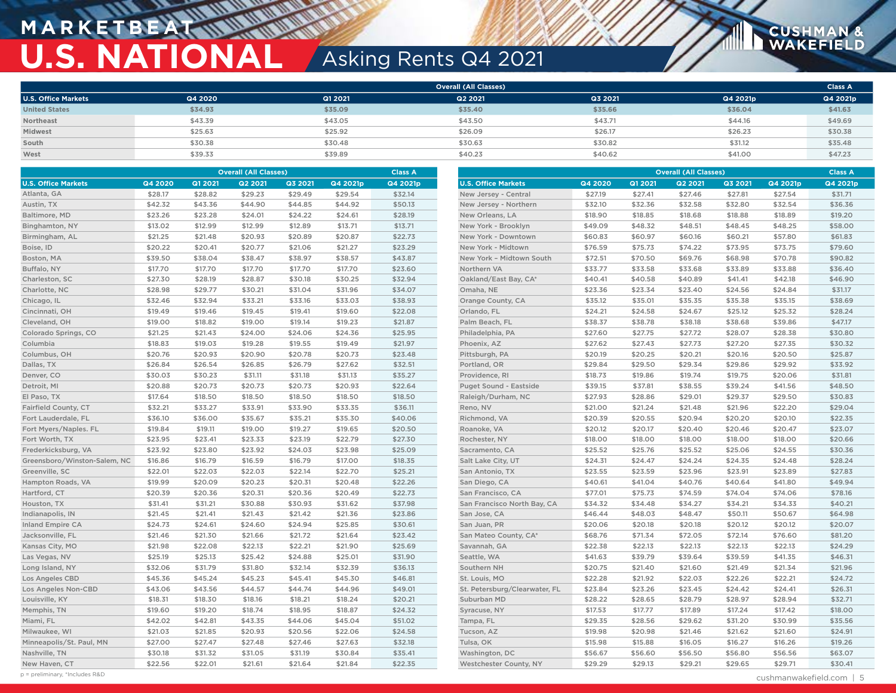## **M A R K E T B E AT U.S. NATIONAL** Asking Rents Q4 2021

|                            |         |         | <b>Overall (All Classes)</b> |         |          | <b>Class A</b> |
|----------------------------|---------|---------|------------------------------|---------|----------|----------------|
| <b>U.S. Office Markets</b> | Q4 2020 | Q1 2021 | Q2 2021                      | Q3 2021 | Q4 2021p | Q4 2021p       |
| <b>United States</b>       | \$34.93 | \$35.09 | \$35.40                      | \$35.66 | \$36.04  | \$41.63        |
| Northeast                  | \$43.39 | \$43.05 | \$43.50                      | \$43.71 | \$44.16  | \$49.69        |
| Midwest                    | \$25.63 | \$25.92 | \$26.09                      | \$26.17 | \$26.23  | \$30.38        |
| South                      | \$30.38 | \$30.48 | \$30.63                      | \$30.82 | \$31.12  | \$35.48        |
| West                       | \$39.33 | \$39.89 | \$40.23                      | \$40.62 | \$41.00  | \$47.23        |

|                              |         |         | <b>Overall (All Classes)</b> |         |          | <b>Class A</b> |                               |         |         | <b>Overall (All Classes)</b> |         |          | <b>Class A</b> |
|------------------------------|---------|---------|------------------------------|---------|----------|----------------|-------------------------------|---------|---------|------------------------------|---------|----------|----------------|
| <b>U.S. Office Markets</b>   | Q4 2020 | Q1 2021 | Q2 2021                      | Q3 2021 | Q4 2021p | Q4 2021p       | <b>U.S. Office Markets</b>    | Q4 2020 | Q1 2021 | Q2 2021                      | Q3 2021 | Q4 2021p | Q4 2021p       |
| Atlanta, GA                  | \$28.17 | \$28.82 | \$29.23                      | \$29.49 | \$29.54  | \$32.14        | New Jersey - Central          | \$27.19 | \$27.41 | \$27.46                      | \$27.81 | \$27.54  | \$31.71        |
| Austin, TX                   | \$42.32 | \$43.36 | \$44.90                      | \$44.85 | \$44.92  | \$50.13        | New Jersey - Northern         | \$32.10 | \$32.36 | \$32.58                      | \$32.80 | \$32.54  | \$36.36        |
| Baltimore, MD                | \$23.26 | \$23.28 | \$24.01                      | \$24.22 | \$24.61  | \$28.19        | New Orleans, LA               | \$18.90 | \$18.85 | \$18.68                      | \$18.88 | \$18.89  | \$19.20        |
| Binghamton, NY               | \$13.02 | \$12.99 | \$12.99                      | \$12.89 | \$13.71  | \$13.71        | New York - Brooklyn           | \$49.09 | \$48.32 | \$48.51                      | \$48.45 | \$48.25  | \$58.00        |
| Birmingham, AL               | \$21.25 | \$21.48 | \$20.93                      | \$20.89 | \$20.87  | \$22.73        | New York - Downtown           | \$60.83 | \$60.97 | \$60.16                      | \$60.21 | \$57.80  | \$61.83        |
| Boise, ID                    | \$20.22 | \$20.41 | \$20.77                      | \$21.06 | \$21.27  | \$23.29        | New York - Midtown            | \$76.59 | \$75.73 | \$74.22                      | \$73.95 | \$73.75  | \$79.60        |
| Boston, MA                   | \$39.50 | \$38.04 | \$38.47                      | \$38.97 | \$38.57  | \$43.87        | New York - Midtown South      | \$72.51 | \$70.50 | \$69.76                      | \$68.98 | \$70.78  | \$90.82        |
| Buffalo, NY                  | \$17.70 | \$17.70 | \$17.70                      | \$17.70 | \$17.70  | \$23.60        | Northern VA                   | \$33.77 | \$33.58 | \$33.68                      | \$33.89 | \$33.88  | \$36.40        |
| Charleston, SC               | \$27.30 | \$28.19 | \$28.87                      | \$30.18 | \$30.25  | \$32.94        | Oakland/East Bay, CA*         | \$40.41 | \$40.58 | \$40.89                      | \$41.41 | \$42.18  | \$46.90        |
| Charlotte, NC                | \$28.98 | \$29.77 | \$30.21                      | \$31.04 | \$31.96  | \$34.07        | Omaha, NE                     | \$23.36 | \$23.34 | \$23.40                      | \$24.56 | \$24.84  | \$31.17        |
| Chicago, IL                  | \$32.46 | \$32.94 | \$33.21                      | \$33.16 | \$33.03  | \$38.93        | Orange County, CA             | \$35.12 | \$35.01 | \$35.35                      | \$35.38 | \$35.15  | \$38.69        |
| Cincinnati, OH               | \$19.49 | \$19.46 | \$19.45                      | \$19.41 | \$19.60  | \$22.08        | Orlando, FL                   | \$24.21 | \$24.58 | \$24.67                      | \$25.12 | \$25.32  | \$28.24        |
| Cleveland, OH                | \$19.00 | \$18.82 | \$19.00                      | \$19.14 | \$19.23  | \$21.87        | Palm Beach, FL                | \$38.37 | \$38.78 | \$38.18                      | \$38.68 | \$39.86  | \$47.17        |
| Colorado Springs, CO         | \$21.25 | \$21.43 | \$24.00                      | \$24.06 | \$24.36  | \$25.95        | Philadelphia, PA              | \$27.60 | \$27.75 | \$27.72                      | \$28.07 | \$28.38  | \$30.80        |
| Columbia                     | \$18.83 | \$19.03 | \$19.28                      | \$19.55 | \$19.49  | \$21.97        | Phoenix, AZ                   | \$27.62 | \$27.43 | \$27.73                      | \$27.20 | \$27.35  | \$30.32        |
| Columbus, OH                 | \$20.76 | \$20.93 | \$20.90                      | \$20.78 | \$20.73  | \$23.48        | Pittsburgh, PA                | \$20.19 | \$20.25 | \$20.21                      | \$20.16 | \$20.50  | \$25.87        |
| Dallas, TX                   | \$26.84 | \$26.54 | \$26.85                      | \$26.79 | \$27.62  | \$32.51        | Portland, OR                  | \$29.84 | \$29.50 | \$29.34                      | \$29.86 | \$29.92  | \$33.92        |
| Denver, CO                   | \$30.03 | \$30.23 | \$31.11                      | \$31.18 | \$31.13  | \$35.27        | Providence, RI                | \$18.73 | \$19.86 | \$19.74                      | \$19.75 | \$20.06  | \$31.81        |
| Detroit, MI                  | \$20.88 | \$20.73 | \$20.73                      | \$20.73 | \$20.93  | \$22.64        | Puget Sound - Eastside        | \$39.15 | \$37.81 | \$38.55                      | \$39.24 | \$41.56  | \$48.50        |
| El Paso, TX                  | \$17.64 | \$18.50 | \$18.50                      | \$18.50 | \$18.50  | \$18.50        | Raleigh/Durham, NC            | \$27.93 | \$28.86 | \$29.01                      | \$29.37 | \$29.50  | \$30.83        |
| Fairfield County, CT         | \$32.21 | \$33.27 | \$33.91                      | \$33.90 | \$33.35  | \$36.11        | Reno, NV                      | \$21.00 | \$21.24 | \$21.48                      | \$21.96 | \$22.20  | \$29.04        |
| Fort Lauderdale, FL          | \$36.10 | \$36.00 | \$35.67                      | \$35.21 | \$35.30  | \$40.06        | Richmond, VA                  | \$20.39 | \$20.55 | \$20.94                      | \$20.20 | \$20.10  | \$22.35        |
| Fort Myers/Naples. FL        | \$19.84 | \$19.11 | \$19.00                      | \$19.27 | \$19.65  | \$20.50        | Roanoke, VA                   | \$20.12 | \$20.17 | \$20.40                      | \$20.46 | \$20.47  | \$23.07        |
| Fort Worth, TX               | \$23.95 | \$23.41 | \$23.33                      | \$23.19 | \$22.79  | \$27.30        | Rochester, NY                 | \$18.00 | \$18.00 | \$18.00                      | \$18.00 | \$18.00  | \$20.66        |
| Frederkicksburg, VA          | \$23.92 | \$23.80 | \$23.92                      | \$24.03 | \$23.98  | \$25.09        | Sacramento, CA                | \$25.52 | \$25.76 | \$25.52                      | \$25.06 | \$24.55  | \$30.36        |
| Greensboro/Winston-Salem, NC | \$16.86 | \$16.79 | \$16.59                      | \$16.79 | \$17.00  | \$18.35        | Salt Lake City, UT            | \$24.31 | \$24.47 | \$24.24                      | \$24.35 | \$24.48  | \$28.24        |
| Greenville, SC               | \$22.01 | \$22.03 | \$22.03                      | \$22.14 | \$22.70  | \$25.21        | San Antonio, TX               | \$23.55 | \$23.59 | \$23.96                      | \$23.91 | \$23.89  | \$27.83        |
| Hampton Roads, VA            | \$19.99 | \$20.09 | \$20.23                      | \$20.31 | \$20.48  | \$22.26        | San Diego, CA                 | \$40.61 | \$41.04 | \$40.76                      | \$40.64 | \$41.80  | \$49.94        |
| Hartford, CT                 | \$20.39 | \$20.36 | \$20.31                      | \$20.36 | \$20.49  | \$22.73        | San Francisco, CA             | \$77.01 | \$75.73 | \$74.59                      | \$74.04 | \$74.06  | \$78.16        |
| Houston, TX                  | \$31.41 | \$31.21 | \$30.88                      | \$30.93 | \$31.62  | \$37.98        | San Francisco North Bay, CA   | \$34.32 | \$34.48 | \$34.27                      | \$34.21 | \$34.33  | \$40.21        |
| Indianapolis, IN             | \$21.45 | \$21.41 | \$21.43                      | \$21.42 | \$21.36  | \$23.86        | San Jose, CA                  | \$46.44 | \$48.03 | \$48.47                      | \$50.11 | \$50.67  | \$64.98        |
| <b>Inland Empire CA</b>      | \$24.73 | \$24.61 | \$24.60                      | \$24.94 | \$25.85  | \$30.61        | San Juan, PR                  | \$20.06 | \$20.18 | \$20.18                      | \$20.12 | \$20.12  | \$20.07        |
| Jacksonville, FL             | \$21.46 | \$21.30 | \$21.66                      | \$21.72 | \$21.64  | \$23.42        | San Mateo County, CA*         | \$68.76 | \$71.34 | \$72.05                      | \$72.14 | \$76.60  | \$81.20        |
| Kansas City, MO              | \$21.98 | \$22.08 | \$22.13                      | \$22.21 | \$21.90  | \$25.69        | Savannah, GA                  | \$22.38 | \$22.13 | \$22.13                      | \$22.13 | \$22.13  | \$24.29        |
| Las Vegas, NV                | \$25.19 | \$25.13 | \$25.42                      | \$24.88 | \$25.01  | \$31.90        | Seattle, WA                   | \$41.63 | \$39.79 | \$39.64                      | \$39.59 | \$41.35  | \$46.31        |
| Long Island, NY              | \$32.06 | \$31.79 | \$31.80                      | \$32.14 | \$32.39  | \$36.13        | Southern NH                   | \$20.75 | \$21.40 | \$21.60                      | \$21.49 | \$21.34  | \$21.96        |
| Los Angeles CBD              | \$45.36 | \$45.24 | \$45.23                      | \$45.41 | \$45.30  | \$46.81        | St. Louis, MO                 | \$22.28 | \$21.92 | \$22.03                      | \$22.26 | \$22.21  | \$24.72        |
| Los Angeles Non-CBD          | \$43.06 | \$43.56 | \$44.57                      | \$44.74 | \$44.96  | \$49.01        | St. Petersburg/Clearwater, FL | \$23.84 | \$23.26 | \$23.45                      | \$24.42 | \$24.41  | \$26.31        |
| Louisville, KY               | \$18.31 | \$18.30 | \$18.16                      | \$18.21 | \$18.24  | \$20.21        | Suburban MD                   | \$28.22 | \$28.65 | \$28.79                      | \$28.97 | \$28.94  | \$32.71        |
| Memphis, TN                  | \$19.60 | \$19.20 | \$18.74                      | \$18.95 | \$18.87  | \$24.32        | Syracuse, NY                  | \$17.53 | \$17.77 | \$17.89                      | \$17.24 | \$17.42  | \$18.00        |
| Miami, FL                    | \$42.02 | \$42.81 | \$43.35                      | \$44.06 | \$45.04  | \$51.02        | Tampa, FL                     | \$29.35 | \$28.56 | \$29.62                      | \$31.20 | \$30.99  | \$35.56        |
| Milwaukee, WI                | \$21.03 | \$21.85 | \$20.93                      | \$20.56 | \$22.06  | \$24.58        | Tucson, AZ                    | \$19.98 | \$20.98 | \$21.46                      | \$21.62 | \$21.60  | \$24.91        |
| Minneapolis/St. Paul, MN     | \$27.00 | \$27.47 | \$27.48                      | \$27.46 | \$27.63  | \$32.18        | Tulsa, OK                     | \$15.98 | \$15.88 | \$16.05                      | \$16.27 | \$16.26  | \$19.26        |
| Nashville, TN                | \$30.18 | \$31.32 | \$31.05                      | \$31.19 | \$30.84  | \$35.41        | Washington, DC                | \$56.67 | \$56.60 | \$56.50                      | \$56.80 | \$56.56  | \$63.07        |
| New Haven, CT                | \$22.56 | \$22.01 | \$21.61                      | \$21.64 | \$21.84  | \$22.35        | Westchester County, NY        | \$29.29 | \$29.13 | \$29.21                      | \$29.65 | \$29.71  | \$30.41        |

p = preliminary, \*Includes R&D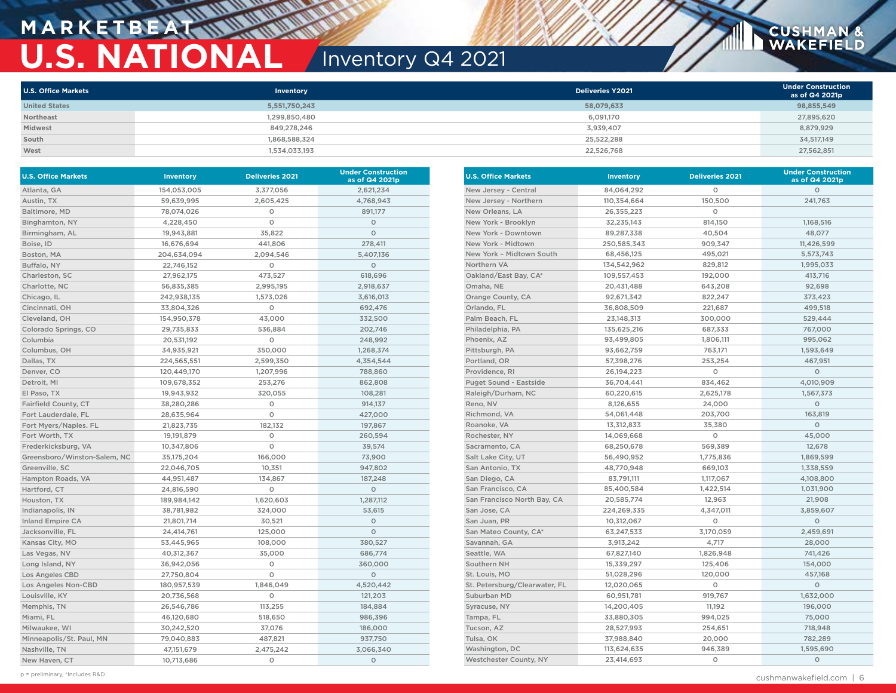## **MARKETBEA U.S. NATIONAL** Inventory Q4 2021

| <b>U.S. Office Markets</b> | Inventory     | <b>Deliveries Y2021</b> | <b>Under Construction</b><br>as of Q4 2021p |
|----------------------------|---------------|-------------------------|---------------------------------------------|
| <b>United States</b>       | 5,551,750,243 | 58,079,633              | 98,855,549                                  |
| Northeast                  | 1,299,850,480 | 6.091.170               | 27,895,620                                  |
| Midwest                    | 849,278,246   | 3,939,407               | 8,879,929                                   |
| South                      | 1,868,588,324 | 25,522,288              | 34,517,149                                  |
| West                       | 1,534,033,193 | 22,526,768              | 27,562,851                                  |

| <b>U.S. Office Markets</b>   | <b>Inventory</b> | <b>Deliveries 2021</b> | <b>Under Construction</b><br>as of Q4 2021p |
|------------------------------|------------------|------------------------|---------------------------------------------|
| Atlanta, GA                  | 154,053,005      | 3,377,056              | 2,621,234                                   |
| Austin, TX                   | 59,639,995       | 2,605,425              | 4,768,943                                   |
| Baltimore, MD                | 78,074,026       | O                      | 891,177                                     |
| Binghamton, NY               | 4,228,450        | O                      | $\circ$                                     |
| Birmingham, AL               | 19,943,881       | 35,822                 | $\circ$                                     |
| Boise, ID                    | 16,676,694       | 441,806                | 278,411                                     |
| Boston, MA                   | 204,634,094      | 2,094,546              | 5,407,136                                   |
| Buffalo, NY                  | 22,746,152       | O                      | $\circ$                                     |
| Charleston, SC               | 27,962,175       | 473,527                | 618,696                                     |
| Charlotte, NC                | 56,835,385       | 2,995,195              | 2,918,637                                   |
| Chicago, IL                  | 242,938,135      | 1,573,026              | 3,616,013                                   |
| Cincinnati, OH               | 33,804,326       | O                      | 692,476                                     |
| Cleveland, OH                | 154,950,378      | 43,000                 | 332,500                                     |
| Colorado Springs, CO         | 29,735,833       | 536,884                | 202,746                                     |
| Columbia                     | 20,531,192       | 0                      | 248,992                                     |
| Columbus, OH                 | 34,935,921       | 350,000                | 1,268,374                                   |
| Dallas, TX                   | 224,565,551      | 2,599,350              | 4,354,544                                   |
| Denver, CO                   | 120,449,170      | 1,207,996              | 788,860                                     |
| Detroit, MI                  | 109,678,352      | 253,276                | 862,808                                     |
| El Paso, TX                  | 19,943,932       | 320,055                | 108,281                                     |
| Fairfield County, CT         | 38,280,286       | O                      | 914,137                                     |
| Fort Lauderdale, FL          | 28,635,964       | O                      | 427,000                                     |
| Fort Myers/Naples. FL        | 21,823,735       | 182,132                | 197,867                                     |
| Fort Worth, TX               | 19,191,879       | O                      | 260,594                                     |
| Frederkicksburg, VA          | 10,347,806       | O                      | 39,574                                      |
| Greensboro/Winston-Salem, NC | 35,175,204       | 166,000                | 73,900                                      |
| Greenville, SC               | 22,046,705       | 10,351                 | 947,802                                     |
| Hampton Roads, VA            | 44,951,487       | 134,867                | 187,248                                     |
| Hartford, CT                 | 24,816,590       | 0                      | $\circ$                                     |
| Houston, TX                  | 189,984,142      | 1,620,603              | 1,287,112                                   |
| Indianapolis, IN             | 38,781,982       | 324,000                | 53,615                                      |
| <b>Inland Empire CA</b>      | 21,801,714       | 30,521                 | $\circ$                                     |
| Jacksonville, FL             | 24,414,761       | 125,000                | $\circ$                                     |
| Kansas City, MO              | 53,445,965       | 108,000                | 380,527                                     |
| Las Vegas, NV                | 40,312,367       | 35,000                 | 686,774                                     |
| Long Island, NY              | 36,942,056       | O                      | 360,000                                     |
| <b>Los Angeles CBD</b>       | 27,750,804       | O                      | $\circ$                                     |
| Los Angeles Non-CBD          | 180,957,539      | 1,846,049              | 4,520,442                                   |
| Louisville, KY               | 20,736,568       | O                      | 121,203                                     |
| Memphis, TN                  | 26,546,786       | 113,255                | 184,884                                     |
| Miami, FL                    | 46,120,680       | 518,650                | 986,396                                     |
| Milwaukee, WI                | 30,242,520       | 37,076                 | 186,000                                     |
| Minneapolis/St. Paul, MN     | 79,040,883       | 487,821                | 937,750                                     |
| Nashville, TN                | 47,151,679       | 2,475,242              | 3,066,340                                   |
| New Haven, CT                | 10,713,686       | O                      | $\circ$                                     |

| <b>U.S. Office Markets</b>    | Inventory    | <b>Deliveries 2021</b> | <b>Under Construction</b><br>as of Q4 2021p |
|-------------------------------|--------------|------------------------|---------------------------------------------|
| New Jersey - Central          | 84,064,292   | O                      | $\circ$                                     |
| New Jersey - Northern         | 110,354,664  | 150,500                | 241,763                                     |
| New Orleans, LA               | 26,355,223   | 0                      |                                             |
| New York - Brooklyn           | 32,235,143   | 814,150                | 1,168,516                                   |
| New York - Downtown           | 89,287,338   | 40,504                 | 48,077                                      |
| New York - Midtown            | 250,585,343  | 909,347                | 11,426,599                                  |
| New York - Midtown South      | 68,456,125   | 495,021                | 5,573,743                                   |
| Northern VA                   | 134,542,962  | 829,812                | 1,995,033                                   |
| Oakland/East Bay, CA*         | 109,557,453  | 192,000                | 413,716                                     |
| Omaha, NE                     | 20,431,488   | 643,208                | 92,698                                      |
| Orange County, CA             | 92,671,342   | 822,247                | 373,423                                     |
| Orlando, FL                   | 36,808,509   | 221,687                | 499,518                                     |
| Palm Beach, FL                | 23, 148, 313 | 300,000                | 529,444                                     |
| Philadelphia, PA              | 135,625,216  | 687,333                | 767,000                                     |
| Phoenix, AZ                   | 93,499,805   | 1,806,111              | 995,062                                     |
| Pittsburgh, PA                | 93,662,759   | 763,171                | 1,593,649                                   |
| Portland, OR                  | 57,398,276   | 253,254                | 467,951                                     |
| Providence, RI                | 26,194,223   | O                      | $\circ$                                     |
| Puget Sound - Eastside        | 36,704,441   | 834,462                | 4,010,909                                   |
| Raleigh/Durham, NC            | 60,220,615   | 2,625,178              | 1,567,373                                   |
| Reno, NV                      | 8,126,655    | 24,000                 | $\circ$                                     |
| Richmond, VA                  | 54,061,448   | 203,700                | 163,819                                     |
| Roanoke, VA                   | 13,312,833   | 35,380                 | $\circ$                                     |
| Rochester, NY                 | 14,069,668   | O                      | 45,000                                      |
| Sacramento, CA                | 68,250,678   | 569,389                | 12,678                                      |
| Salt Lake City, UT            | 56,490,952   | 1,775,836              | 1,869,599                                   |
| San Antonio, TX               | 48,770,948   | 669,103                | 1,338,559                                   |
| San Diego, CA                 | 83,791,111   | 1,117,067              | 4,108,800                                   |
| San Francisco, CA             | 85,400,584   | 1,422,514              | 1,031,900                                   |
| San Francisco North Bay, CA   | 20,585,774   | 12,963                 | 21,908                                      |
| San Jose, CA                  | 224,269,335  | 4,347,011              | 3,859,607                                   |
| San Juan, PR                  | 10,312,067   | O                      | $\circ$                                     |
| San Mateo County, CA*         | 63,247,533   | 3,170,059              | 2,459,691                                   |
| Savannah, GA                  | 3,913,242    | 4,717                  | 28,000                                      |
| Seattle, WA                   | 67,827,140   | 1,826,948              | 741,426                                     |
| Southern NH                   | 15,339,297   | 125,406                | 154,000                                     |
| St. Louis, MO                 | 51,028,296   | 120,000                | 457,168                                     |
| St. Petersburg/Clearwater, FL | 12,020,065   | O                      | $\circ$                                     |
| Suburban MD                   | 60,951,781   | 919,767                | 1,632,000                                   |
| Syracuse, NY                  | 14,200,405   | 11,192                 | 196,000                                     |
| Tampa, FL                     | 33,880,305   | 994,025                | 75,000                                      |
| Tucson, AZ                    | 28,527,993   | 254,651                | 718,948                                     |
| Tulsa, OK                     | 37,988,840   | 20,000                 | 782,289                                     |
| Washington, DC                | 113,624,635  | 946,389                | 1,595,690                                   |
| Westchester County, NY        | 23,414,693   | O                      | $\circ$                                     |